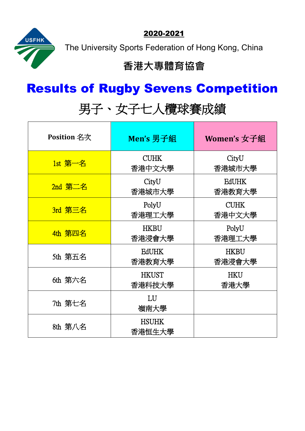2020-2021



The University Sports Federation of Hong Kong, China

## **香港大專體育協會**

## Results of Rugby Sevens Competition

## 男子、女子七人欖球賽成績

| <b>Position 名次</b> | Men's 男子組              | Women's 女子組            |
|--------------------|------------------------|------------------------|
| $1st$ 第一名          | <b>CUHK</b><br>香港中文大學  | CityU<br>香港城市大學        |
| $2$ nd 第二名         | CityU<br>香港城市大學        | <b>EdUHK</b><br>香港教育大學 |
| 3rd 第三名            | PolyU<br>香港理工大學        | <b>CUHK</b><br>香港中文大學  |
| 4th 第四名            | <b>HKBU</b><br>香港浸會大學  | PolyU<br>香港理工大學        |
| 5th 第五名            | <b>EdUHK</b><br>香港教育大學 | <b>HKBU</b><br>香港浸會大學  |
| 6th 第六名            | <b>HKUST</b><br>香港科技大學 | <b>HKU</b><br>香港大學     |
| 7th 第七名            | LU<br>嶺南大學             |                        |
| 8th 第八名            | <b>HSUHK</b><br>香港恒生大學 |                        |